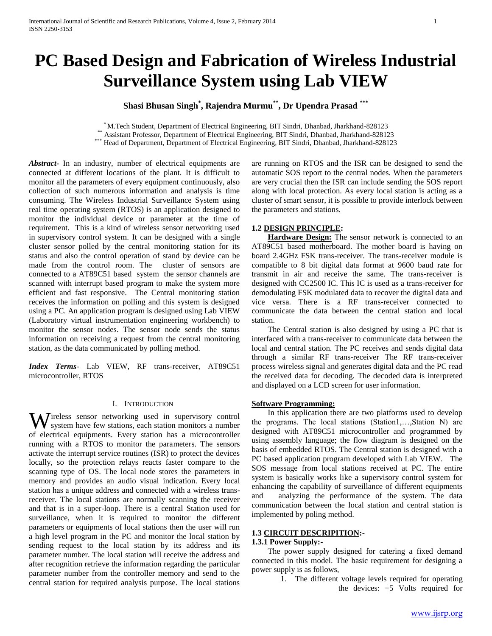# **PC Based Design and Fabrication of Wireless Industrial Surveillance System using Lab VIEW**

# **Shasi Bhusan Singh\* , Rajendra Murmu\*\* , Dr Upendra Prasad \*\*\***

\* M.Tech Student, Department of Electrical Engineering, BIT Sindri, Dhanbad, Jharkhand-828123

\*\* Assistant Professor, Department of Electrical Engineering, BIT Sindri, Dhanbad, Jharkhand-828123

\*\*\* Head of Department, Department of Electrical Engineering, BIT Sindri, Dhanbad, Jharkhand-828123

*Abstract***-** In an industry, number of electrical equipments are connected at different locations of the plant. It is difficult to monitor all the parameters of every equipment continuously, also collection of such numerous information and analysis is time consuming. The Wireless Industrial Surveillance System using real time operating system (RTOS) is an application designed to monitor the individual device or parameter at the time of requirement. This is a kind of wireless sensor networking used in supervisory control system. It can be designed with a single cluster sensor polled by the central monitoring station for its status and also the control operation of stand by device can be made from the control room. The cluster of sensors are connected to a AT89C51 based system the sensor channels are scanned with interrupt based program to make the system more efficient and fast responsive. The Central monitoring station receives the information on polling and this system is designed using a PC. An application program is designed using Lab VIEW (Laboratory virtual instrumentation engineering workbench) to monitor the sensor nodes. The sensor node sends the status information on receiving a request from the central monitoring station, as the data communicated by polling method.

*Index Terms*- Lab VIEW, RF trans-receiver, AT89C51 microcontroller, RTOS

### I. INTRODUCTION

ireless sensor networking used in supervisory control Wireless sensor networking used in supervisory control system have few stations, each station monitors a number of electrical equipments. Every station has a microcontroller running with a RTOS to monitor the parameters. The sensors activate the interrupt service routines (ISR) to protect the devices locally, so the protection relays reacts faster compare to the scanning type of OS. The local node stores the parameters in memory and provides an audio visual indication. Every local station has a unique address and connected with a wireless transreceiver. The local stations are normally scanning the receiver and that is in a super-loop. There is a central Station used for surveillance, when it is required to monitor the different parameters or equipments of local stations then the user will run a high level program in the PC and monitor the local station by sending request to the local station by its address and its parameter number. The local station will receive the address and after recognition retrieve the information regarding the particular parameter number from the controller memory and send to the central station for required analysis purpose. The local stations

are running on RTOS and the ISR can be designed to send the automatic SOS report to the central nodes. When the parameters are very crucial then the ISR can include sending the SOS report along with local protection. As every local station is acting as a cluster of smart sensor, it is possible to provide interlock between the parameters and stations.

### **1.2 DESIGN PRINCIPLE:**

 **Hardware Design:** The sensor network is connected to an AT89C51 based motherboard. The mother board is having on board 2.4GHz FSK trans-receiver. The trans-receiver module is compatible to 8 bit digital data format at 9600 baud rate for transmit in air and receive the same. The trans-receiver is designed with CC2500 IC. This IC is used as a trans-receiver for demodulating FSK modulated data to recover the digital data and vice versa. There is a RF trans-receiver connected to communicate the data between the central station and local station.

The Central station is also designed by using a PC that is interfaced with a trans-receiver to communicate data between the local and central station. The PC receives and sends digital data through a similar RF trans-receiver The RF trans-receiver process wireless signal and generates digital data and the PC read the received data for decoding. The decoded data is interpreted and displayed on a LCD screen for user information.

#### **Software Programming:**

In this application there are two platforms used to develop the programs. The local stations (Station1,…,Station N) are designed with AT89C51 microcontroller and programmed by using assembly language; the flow diagram is designed on the basis of embedded RTOS. The Central station is designed with a PC based application program developed with Lab VIEW. The SOS message from local stations received at PC. The entire system is basically works like a supervisory control system for enhancing the capability of surveillance of different equipments and analyzing the performance of the system. The data communication between the local station and central station is implemented by poling method.

### **1.3 CIRCUIT DESCRIPITION:-**

### **1.3.1 Power Supply:-**

The power supply designed for catering a fixed demand connected in this model. The basic requirement for designing a power supply is as follows,

1. The different voltage levels required for operating the devices: +5 Volts required for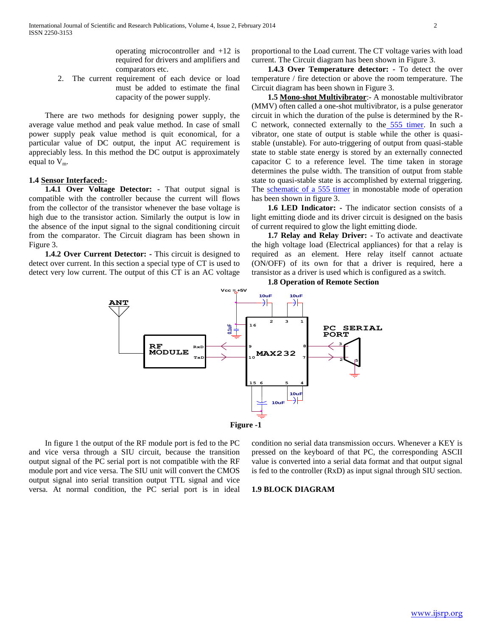operating microcontroller and +12 is required for drivers and amplifiers and comparators etc.

2. The current requirement of each device or load must be added to estimate the final capacity of the power supply.

There are two methods for designing power supply, the average value method and peak value method. In case of small power supply peak value method is quit economical, for a particular value of DC output, the input AC requirement is appreciably less. In this method the DC output is approximately equal to  $V_m$ .

#### **1.4 Sensor Interfaced:-**

 **1.4.1 Over Voltage Detector: -** That output signal is compatible with the controller because the current will flows from the collector of the transistor whenever the base voltage is high due to the transistor action. Similarly the output is low in the absence of the input signal to the signal conditioning circuit from the comparator. The Circuit diagram has been shown in Figure 3.

**1.4.2 Over Current Detector:** - This circuit is designed to detect over current. In this section a special type of CT is used to detect very low current. The output of this CT is an AC voltage proportional to the Load current. The CT voltage varies with load current. The Circuit diagram has been shown in Figure 3.

 **1.4.3 Over Temperature detector: -** To detect the over temperature / fire detection or above the room temperature. The Circuit diagram has been shown in Figure 3.

 **1.5 Mono-shot Multivibrator**:- A monostable multivibrator (MMV) often called a one-shot multivibrator, is a pulse generator circuit in which the duration of the pulse is determined by the R-C network, connected externally to the [555 timer.](http://www.circuitstoday.com/555-timer-ic-introduction) In such a vibrator, one state of output is stable while the other is quasistable (unstable). For auto-triggering of output from quasi-stable state to stable state energy is stored by an externally connected capacitor C to a reference level. The time taken in storage determines the pulse width. The transition of output from stable state to quasi-stable state is accomplished by external triggering. The [schematic of a 555 timer](http://www.circuitstoday.com/555-timer-ic-block-diagram) in monostable mode of operation has been shown in figure 3.

 **1.6 LED Indicator: -** The indicator section consists of a light emitting diode and its driver circuit is designed on the basis of current required to glow the light emitting diode.

 **1.7 Relay and Relay Driver: -** To activate and deactivate the high voltage load (Electrical appliances) for that a relay is required as an element. Here relay itself cannot actuate (ON/OFF) of its own for that a driver is required, here a transistor as a driver is used which is configured as a switch.





**Figure -1**

In figure 1 the output of the RF module port is fed to the PC and vice versa through a SIU circuit, because the transition output signal of the PC serial port is not compatible with the RF module port and vice versa. The SIU unit will convert the CMOS output signal into serial transition output TTL signal and vice versa. At normal condition, the PC serial port is in ideal

condition no serial data transmission occurs. Whenever a KEY is pressed on the keyboard of that PC, the corresponding ASCII value is converted into a serial data format and that output signal is fed to the controller (RxD) as input signal through SIU section.

#### **1.9 BLOCK DIAGRAM**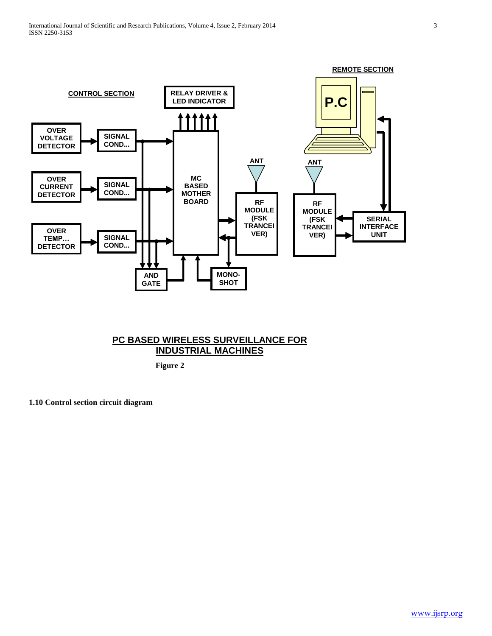

# **PC BASED WIRELESS SURVEILLANCE FOR INDUSTRIAL MACHINES**

 **Figure 2**

**1.10 Control section circuit diagram**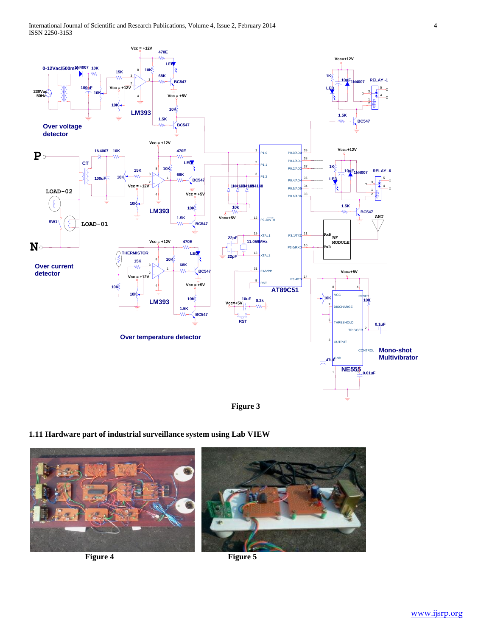

# **Figure 3**

# **1.11 Hardware part of industrial surveillance system using Lab VIEW**

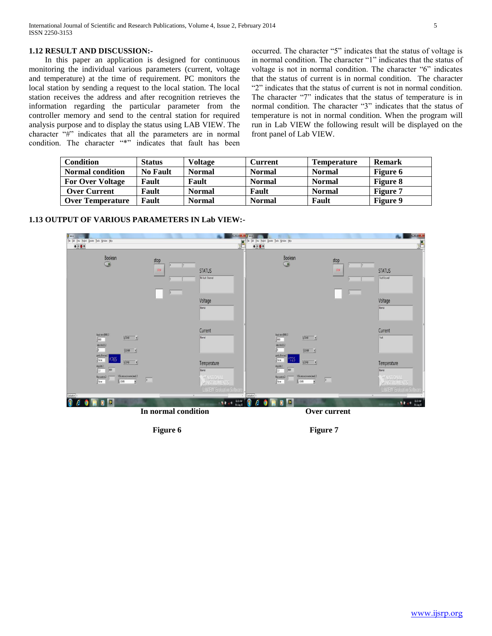## **1.12 RESULT AND DISCUSSION:-**

In this paper an application is designed for continuous monitoring the individual various parameters (current, voltage and temperature) at the time of requirement. PC monitors the local station by sending a request to the local station. The local station receives the address and after recognition retrieves the information regarding the particular parameter from the controller memory and send to the central station for required analysis purpose and to display the status using LAB VIEW. The character "#" indicates that all the parameters are in normal condition. The character "\*" indicates that fault has been

occurred. The character "5" indicates that the status of voltage is in normal condition. The character "1" indicates that the status of voltage is not in normal condition. The character "6" indicates that the status of current is in normal condition. The character "2" indicates that the status of current is not in normal condition. The character "7" indicates that the status of temperature is in normal condition. The character "3" indicates that the status of temperature is not in normal condition. When the program will run in Lab VIEW the following result will be displayed on the front panel of Lab VIEW.

| <b>Condition</b>        | <b>Status</b>   | Voltage       | <b>Current</b> | <b>Temperature</b> | <b>Remark</b>   |
|-------------------------|-----------------|---------------|----------------|--------------------|-----------------|
| <b>Normal condition</b> | <b>No Fault</b> | <b>Normal</b> | <b>Normal</b>  | <b>Normal</b>      | Figure 6        |
| <b>For Over Voltage</b> | Fault           | Fault         | <b>Normal</b>  | <b>Normal</b>      | <b>Figure 8</b> |
| <b>Over Current</b>     | Fault           | <b>Normal</b> | Fault          | <b>Normal</b>      | Figure 7        |
| <b>Over Temperature</b> | Fault           | <b>Normal</b> | <b>Normal</b>  | Fault              | <b>Figure 9</b> |





Figure 6 **Figure 7**